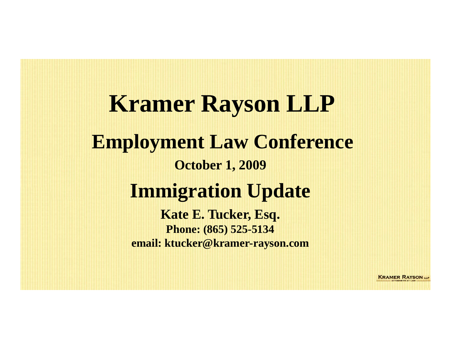**Kramer Rayson LLP Employment Law Conference October 1, 2009 Immigration Update Kate E. Tucker, Esq. Phone: (865) 525-5134 email: ktucker@kramer-rayson.com** 

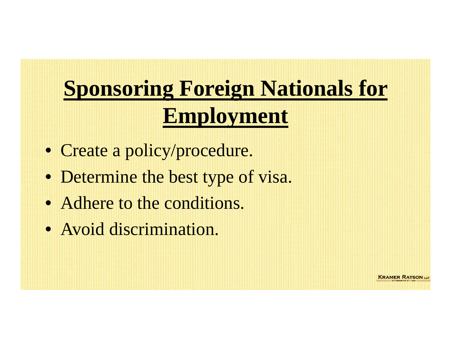# **Sponsoring Foreign Nationals for Employment**

- Create a policy/procedure.
- Determine the best type of visa.
- Adhere to the conditions.
- Avoid discrimination.

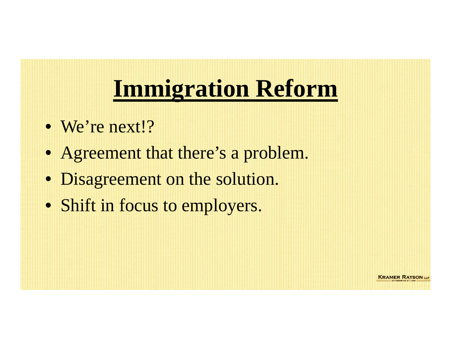# **Immigration Reform**

- We're next!?
- Agreement that there's a problem.
- Disagreement on the solution.
- Shift in focus to employers.

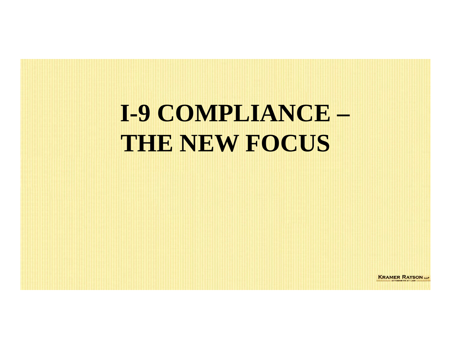# **I-9 COMPLIANCE – THE NEW FOCUS**

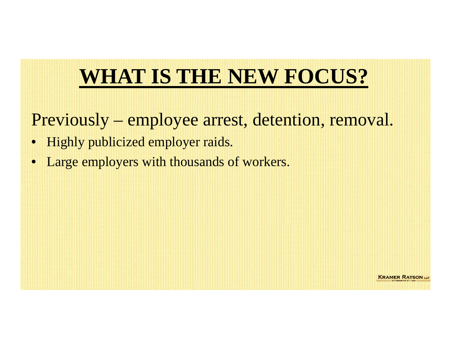## **WHAT IS THE NEW FOCUS?**

Previously – employee arrest, detention, removal.

- Highly publicized employer raids.
- Large employers with thousands of workers.

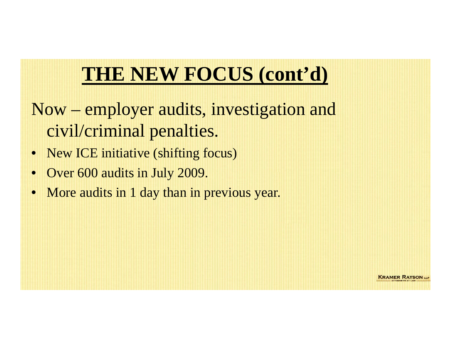### **THE NEW FOCUS (cont'd)**

- Now employer audits, investigation and civil/criminal penalties.
- New ICE initiative (shifting focus)
- Over 600 audits in July 2009.
- More audits in 1 day than in previous year.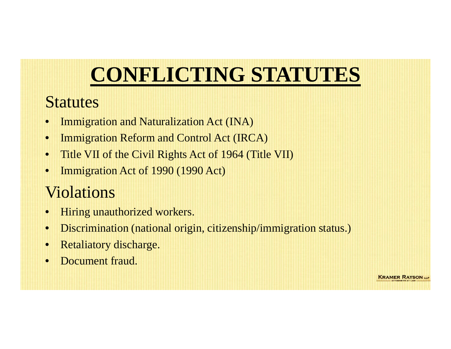# **CONFLICTING STATUTES**

#### **Statutes**

- •Immigration and Naturalization Act (INA)
- •Immigration Reform and Control Act (IRCA)
- •Title VII of the Civil Rights Act of 1964 (Title VII)
- •Immigration Act of 1990 (1990 Act)

### Violations

- •Hiring unauthorized workers.
- •Discrimination (national origin, citizenship/immigration status.)
- •Retaliatory discharge.
- •Document fraud.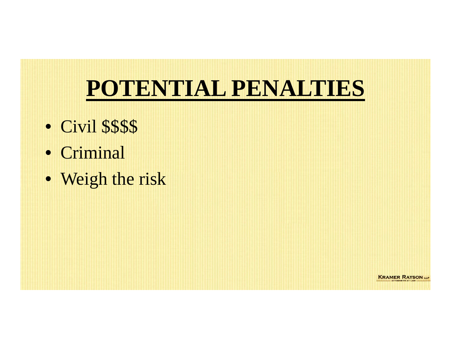# **POTENTIAL PENALTIES**

- Civil \$\$\$\$
- Criminal
- Weigh the risk

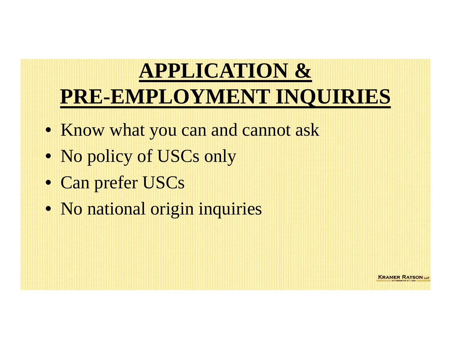# **APPLICATION & PRE-EMPLOYMENT INQUIRIES**

- Know what you can and cannot ask
- No policy of USCs only
- Can prefer USCs
- No national origin inquiries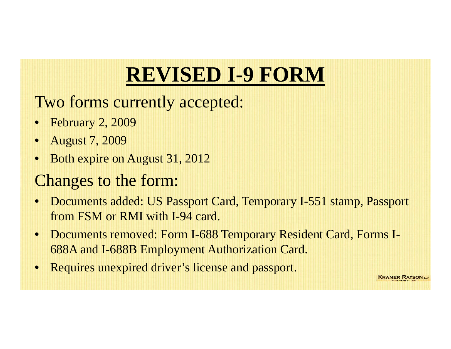# **REVISED I-9 FORM**

Two forms currently accepted:

- February 2, 2009
- August 7, 2009
- Both expire on August 31, 2012

#### Changes to the form:

- Documents added: US Passport Card, Temporary I-551 stamp, Passport from FSM or RMI with I-94 card.
- Documents removed: Form I-688 Temporary Resident Card, Forms I-688A and I-688B Employment Authorization Card.
- Requires unexpired driver's license and passport.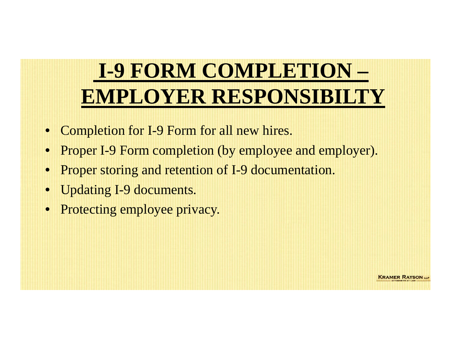# **I-9 FORM COMPLETION –EMPLOYER RESPONSIBILTY**

- Completion for I-9 Form for all new hires.
- Proper I-9 Form completion (by employee and employer).
- Proper storing and retention of I-9 documentation.
- Updating I-9 documents.
- Protecting employee privacy.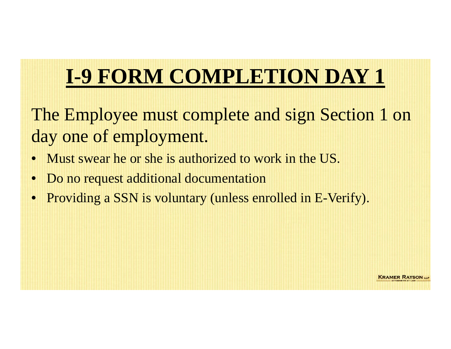# **I-9 FORM COMPLETION DAY 1**

The Employee must complete and sign Section 1 on day one of employment.

- $\bullet$ Must swear he or she is authorized to work in the US.
- •Do no request additional documentation
- Providing a SSN is voluntary (unless enrolled in E-Verify).

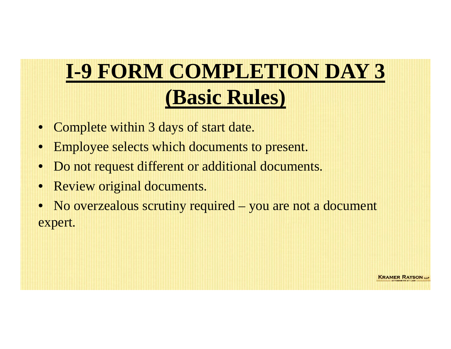# **I-9 FORM COMPLETION DAY 3 (Basic Rules)**

- Complete within 3 days of start date.
- Employee selects which documents to present.
- Do not request different or additional documents.
- Review original documents.
- No overzealous scrutiny required you are not a document expert.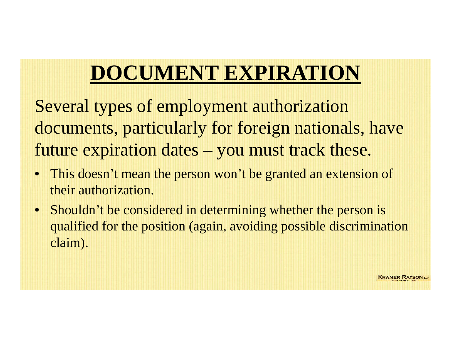## **DOCUMENT EXPIRATION**

Several types of employment authorization documents, particularly for foreign nationals, have future expiration dates – you must track these.

- This doesn't mean the person won't be granted an extension of their authorization.
- Shouldn't be considered in determining whether the person is qualified for the position (again, avoiding possible discrimination claim).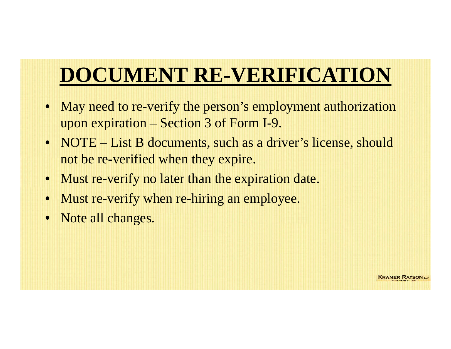# **DOCUMENT RE-VERIFICATION**

- May need to re-verify the person's employment authorization upon expiration – Section 3 of Form I-9.
- NOTE List B documents, such as a driver's license, should not be re-verified when they expire.
- Must re-verify no later than the expiration date.
- Must re-verify when re-hiring an employee.
- Note all changes.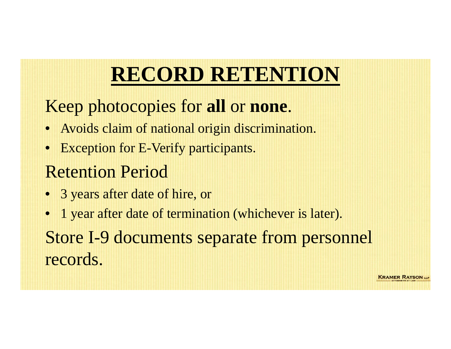## **RECORD RETENTION**

### Keep photocopies for **all** or **none**.

- Avoids claim of national origin discrimination.
- Exception for E-Verify participants.

### Retention Period

- 3 years after date of hire, or
- 1 year after date of termination (whichever is later). Store I-9 documents separate from personnel records.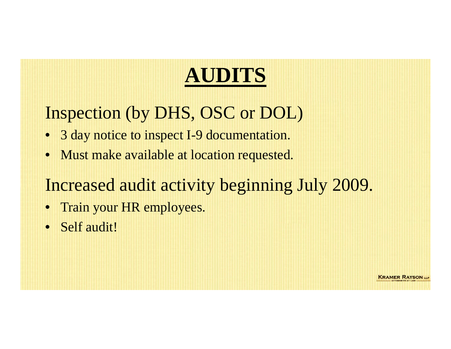## **AUDITS**

### Inspection (by DHS, OSC or DOL)

- 3 day notice to inspect I-9 documentation.
- Must make available at location requested.

### Increased audit activity beginning July 2009.

- Train your HR employees.
- Self audit!

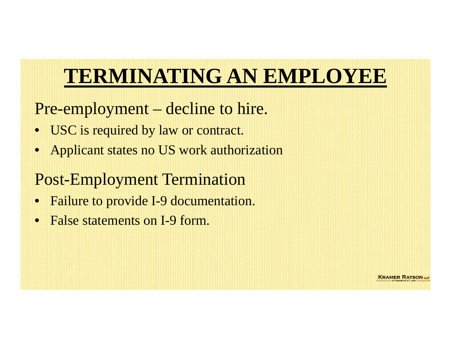## **TERMINATING AN EMPLOYEE**

#### Pre-employment – decline to hire.

- USC is required by law or contract.
- Applicant states no US work authorization

#### Post-Employment Termination

- Failure to provide I-9 documentation.
- False statements on I-9 form.

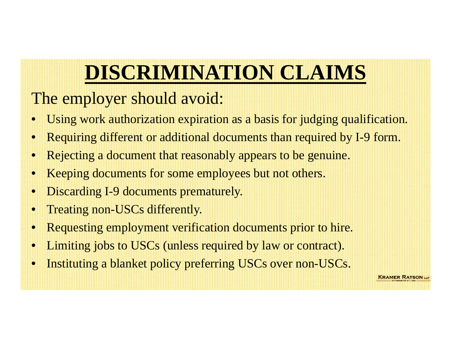# **DISCRIMINATION CLAIMS**

### The employer should avoid:

- Using work authorization expiration as a basis for judging qualification.
- •Requiring different or additional documents than required by I-9 form.
- Rejecting a document that reasonably appears to be genuine.
- Keeping documents for some employees but not others.
- Discarding I-9 documents prematurely.
- Treating non-USCs differently.
- •Requesting employment verification documents prior to hire.
- •Limiting jobs to USCs (unless required by law or contract).
- •Instituting a blanket policy preferring USCs over non-USCs.